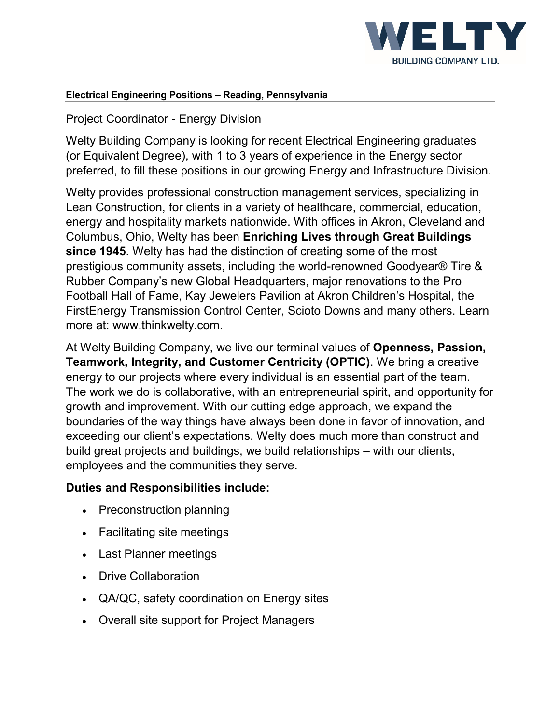

#### **Electrical Engineering Positions – Reading, Pennsylvania**

### Project Coordinator - Energy Division

Welty Building Company is looking for recent Electrical Engineering graduates (or Equivalent Degree), with 1 to 3 years of experience in the Energy sector preferred, to fill these positions in our growing Energy and Infrastructure Division.

Welty provides professional construction management services, specializing in Lean Construction, for clients in a variety of healthcare, commercial, education, energy and hospitality markets nationwide. With offices in Akron, Cleveland and Columbus, Ohio, Welty has been **Enriching Lives through Great Buildings since 1945**. Welty has had the distinction of creating some of the most prestigious community assets, including the world-renowned Goodyear® Tire & Rubber Company's new Global Headquarters, major renovations to the Pro Football Hall of Fame, Kay Jewelers Pavilion at Akron Children's Hospital, the FirstEnergy Transmission Control Center, Scioto Downs and many others. Learn more at: www.thinkwelty.com.

At Welty Building Company, we live our terminal values of **Openness, Passion, Teamwork, Integrity, and Customer Centricity (OPTIC)**. We bring a creative energy to our projects where every individual is an essential part of the team. The work we do is collaborative, with an entrepreneurial spirit, and opportunity for growth and improvement. With our cutting edge approach, we expand the boundaries of the way things have always been done in favor of innovation, and exceeding our client's expectations. Welty does much more than construct and build great projects and buildings, we build relationships – with our clients, employees and the communities they serve.

#### **Duties and Responsibilities include:**

- Preconstruction planning
- Facilitating site meetings
- Last Planner meetings
- Drive Collaboration
- QA/QC, safety coordination on Energy sites
- Overall site support for Project Managers